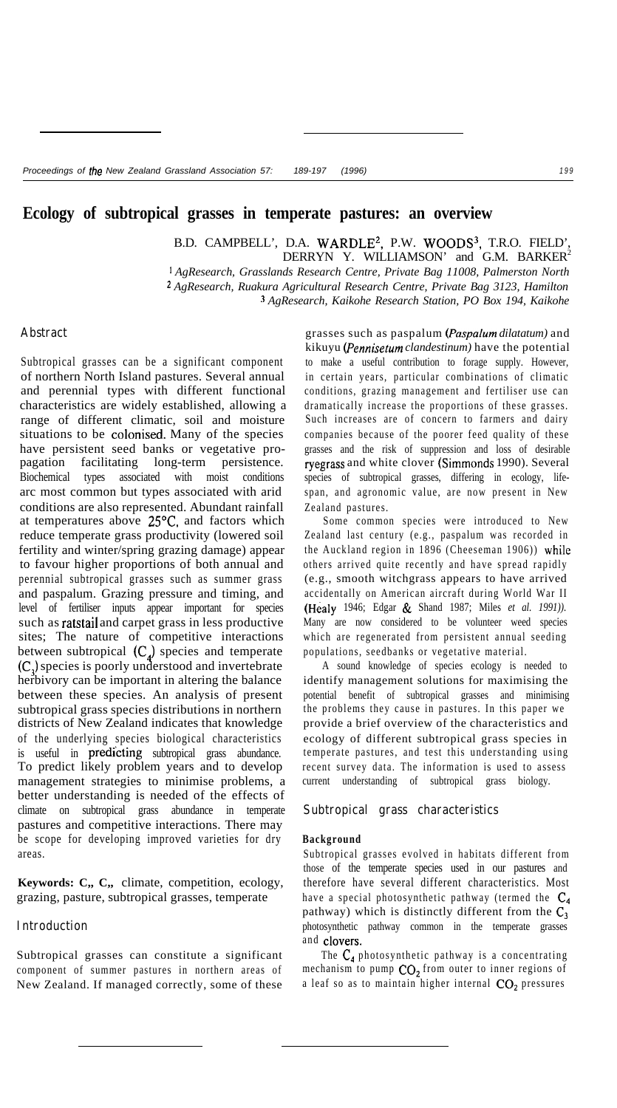### **Ecology of subtropical grasses in temperate pastures: an overview**

B.D. CAMPBELL', D.A. WARDLE<sup>2</sup>, P.W. WOODS<sup>3</sup>, T.R.O. FIELD' DERRYN Y. WILLIAMSON' and G.M. BARKER<sup>2</sup> *' AgResearch, Grasslands Research Centre, Private Bag 11008, Palmerston North 2 AgResearch, Ruakura Agricultural Research Centre, Private Bag 3123, Hamilton ' AgResearch, Kaikohe Research Station, PO Box 194, Kaikohe*

# **Abstract**

Subtropical grasses can be a significant component of northern North Island pastures. Several annual and perennial types with different functional characteristics are widely established, allowing a range of different climatic, soil and moisture situations to be colonised. Many of the species have persistent seed banks or vegetative propagation facilitating long-term persistence. Biochemical types associated with moist conditions arc most common but types associated with arid conditions are also represented. Abundant rainfall at temperatures above 25°C, and factors which reduce temperate grass productivity (lowered soil fertility and winter/spring grazing damage) appear to favour higher proportions of both annual and perennial subtropical grasses such as summer grass and paspalum. Grazing pressure and timing, and level of fertiliser inputs appear important for species such as ratstail and carpet grass in less productive sites; The nature of competitive interactions between subtropical  $(C_4)$  species and temperate (C,) species is poorly understood and invertebrate herbivory can be important in altering the balance between these species. An analysis of present subtropical grass species distributions in northern districts of New Zealand indicates that knowledge of the underlying species biological characteristics is useful in **predicting** subtropical grass abundance. To predict likely problem years and to develop management strategies to minimise problems, a better understanding is needed of the effects of climate on subtropical grass abundance in temperate pastures and competitive interactions. There may be scope for developing improved varieties for dry areas.

**Keywords: C,, C,,** climate, competition, ecology, grazing, pasture, subtropical grasses, temperate

#### **Introduction**

Subtropical grasses can constitute a significant component of summer pastures in northern areas of New Zealand. If managed correctly, some of these

grasses such as paspalum *(Paspalum dilatatum)* and kikuyu *(Pennisetum clandestinum)* have the potential to make a useful contribution to forage supply. However, in certain years, particular combinations of climatic conditions, grazing management and fertiliser use can dramatically increase the proportions of these grasses. Such increases are of concern to farmers and dairy companies because of the poorer feed quality of these grasses and the risk of suppression and loss of desirable ryegrass and white clover (Simmonds 1990). Several species of subtropical grasses, differing in ecology, lifespan, and agronomic value, are now present in New Zealand pastures.

Some common species were introduced to New Zealand last century (e.g., paspalum was recorded in the Auckland region in 1896 (Cheeseman 1906)) while others arrived quite recently and have spread rapidly (e.g., smooth witchgrass appears to have arrived accidentally on American aircraft during World War II (Healy 1946; Edgar & Shand 1987; Miles *et al. 1991)).* Many are now considered to be volunteer weed species which are regenerated from persistent annual seeding populations, seedbanks or vegetative material.

A sound knowledge of species ecology is needed to identify management solutions for maximising the potential benefit of subtropical grasses and minimising the problems they cause in pastures. In this paper we provide a brief overview of the characteristics and ecology of different subtropical grass species in temperate pastures, and test this understanding using recent survey data. The information is used to assess current understanding of subtropical grass biology.

### **Subtropical grass characteristics**

#### **Background**

Subtropical grasses evolved in habitats different from those of the temperate species used in our pastures and therefore have several different characteristics. Most have a special photosynthetic pathway (termed the  $C_4$ pathway) which is distinctly different from the  $C_3$ photosynthetic pathway common in the temperate grasses and clovers.

The  $C_4$  photosynthetic pathway is a concentrating mechanism to pump  $CO<sub>2</sub>$  from outer to inner regions of a leaf so as to maintain higher internal  $CO<sub>2</sub>$  pressures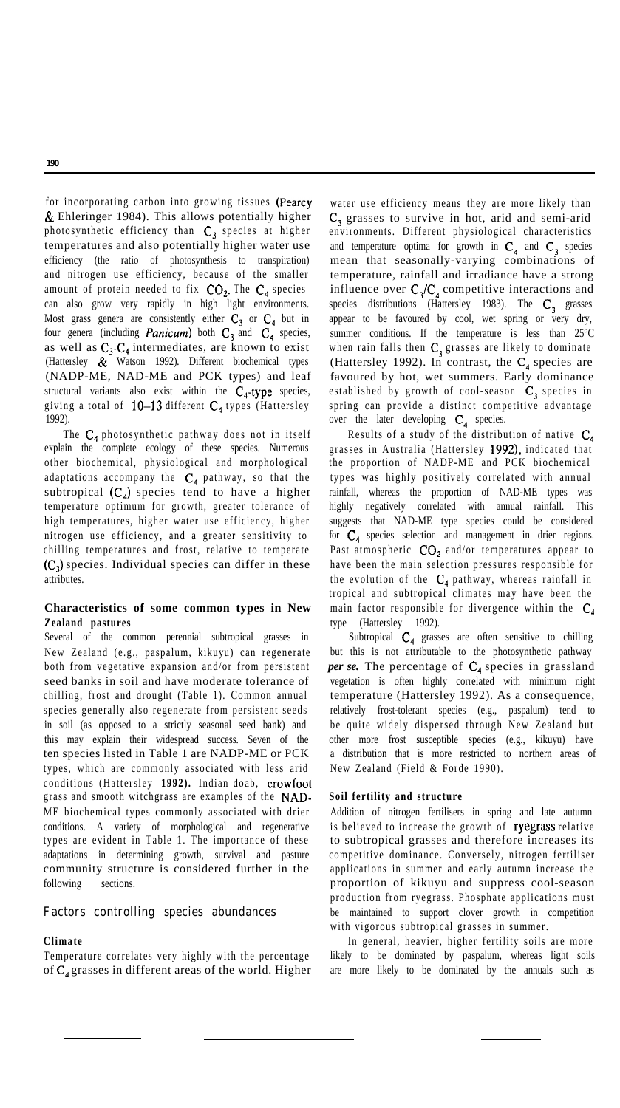for incorporating carbon into growing tissues (Pearcy & Ehleringer 1984). This allows potentially higher photosynthetic efficiency than  $C_3$  species at higher temperatures and also potentially higher water use efficiency (the ratio of photosynthesis to transpiration) and nitrogen use efficiency, because of the smaller amount of protein needed to fix  $CO<sub>2</sub>$ . The  $C<sub>4</sub>$  species can also grow very rapidly in high light environments. Most grass genera are consistently either  $C_3$  or  $C_4$  but in four genera (including *Panicum*) both  $C_3$  and  $C_4$  species, as well as  $C_3-C_4$  intermediates, are known to exist (Hattersley & Watson 1992). Different biochemical types (NADP-ME, NAD-ME and PCK types) and leaf structural variants also exist within the  $C_4$ -type species, giving a total of  $10-13$  different  $C_4$  types (Hattersley 1992).

The  $C_4$  photosynthetic pathway does not in itself explain the complete ecology of these species. Numerous other biochemical, physiological and morphological adaptations accompany the  $C_4$  pathway, so that the subtropical  $(C_4)$  species tend to have a higher temperature optimum for growth, greater tolerance of high temperatures, higher water use efficiency, higher nitrogen use efficiency, and a greater sensitivity to chilling temperatures and frost, relative to temperate  $(C<sub>1</sub>)$  species. Individual species can differ in these attributes.

### **Characteristics of some common types in New Zealand pastures**

Several of the common perennial subtropical grasses in New Zealand (e.g., paspalum, kikuyu) can regenerate both from vegetative expansion and/or from persistent seed banks in soil and have moderate tolerance of chilling, frost and drought (Table 1). Common annual species generally also regenerate from persistent seeds in soil (as opposed to a strictly seasonal seed bank) and this may explain their widespread success. Seven of the ten species listed in Table 1 are NADP-ME or PCK types, which are commonly associated with less arid conditions (Hattersley **1992).** Indian doab, crowfoot grass and smooth witchgrass are examples of the NAD-ME biochemical types commonly associated with drier conditions. A variety of morphological and regenerative types are evident in Table 1. The importance of these adaptations in determining growth, survival and pasture community structure is considered further in the following sections.

### **Factors controlling species abundances**

#### **Climate**

Temperature correlates very highly with the percentage of  $C_4$  grasses in different areas of the world. Higher

water use efficiency means they are more likely than C<sub>3</sub> grasses to survive in hot, arid and semi-arid environments. Different physiological characteristics and temperature optima for growth in  $C_4$  and  $C_3$  species mean that seasonally-varying combinations of temperature, rainfall and irradiance have a strong influence over  $C_3/C_4$  competitive interactions and species distributions (Hattersley 1983). The  $C_3$  grasses appear to be favoured by cool, wet spring or very dry, summer conditions. If the temperature is less than 25°C when rain falls then  $C_3$  grasses are likely to dominate (Hattersley 1992). In contrast, the  $C_4$  species are favoured by hot, wet summers. Early dominance established by growth of cool-season  $C_3$  species in spring can provide a distinct competitive advantage over the later developing  $C_4$  species.

Results of a study of the distribution of native  $C_4$ grasses in Australia (Hattersley 1992), indicated that the proportion of NADP-ME and PCK biochemical types was highly positively correlated with annual rainfall, whereas the proportion of NAD-ME types was highly negatively correlated with annual rainfall. This suggests that NAD-ME type species could be considered for  $C_4$  species selection and management in drier regions. Past atmospheric  $CO<sub>2</sub>$  and/or temperatures appear to have been the main selection pressures responsible for the evolution of the  $C_4$  pathway, whereas rainfall in tropical and subtropical climates may have been the main factor responsible for divergence within the  $C_4$ type (Hattersley 1992).

Subtropical  $C_4$  grasses are often sensitive to chilling but this is not attributable to the photosynthetic pathway *per se.* The percentage of  $C_4$  species in grassland vegetation is often highly correlated with minimum night temperature (Hattersley 1992). As a consequence, relatively frost-tolerant species (e.g., paspalum) tend to be quite widely dispersed through New Zealand but other more frost susceptible species (e.g., kikuyu) have a distribution that is more restricted to northern areas of New Zealand (Field & Forde 1990).

#### **Soil fertility and structure**

Addition of nitrogen fertilisers in spring and late autumn is believed to increase the growth of ryegrass relative to subtropical grasses and therefore increases its competitive dominance. Conversely, nitrogen fertiliser applications in summer and early autumn increase the proportion of kikuyu and suppress cool-season production from ryegrass. Phosphate applications must be maintained to support clover growth in competition with vigorous subtropical grasses in summer.

In general, heavier, higher fertility soils are more likely to be dominated by paspalum, whereas light soils are more likely to be dominated by the annuals such as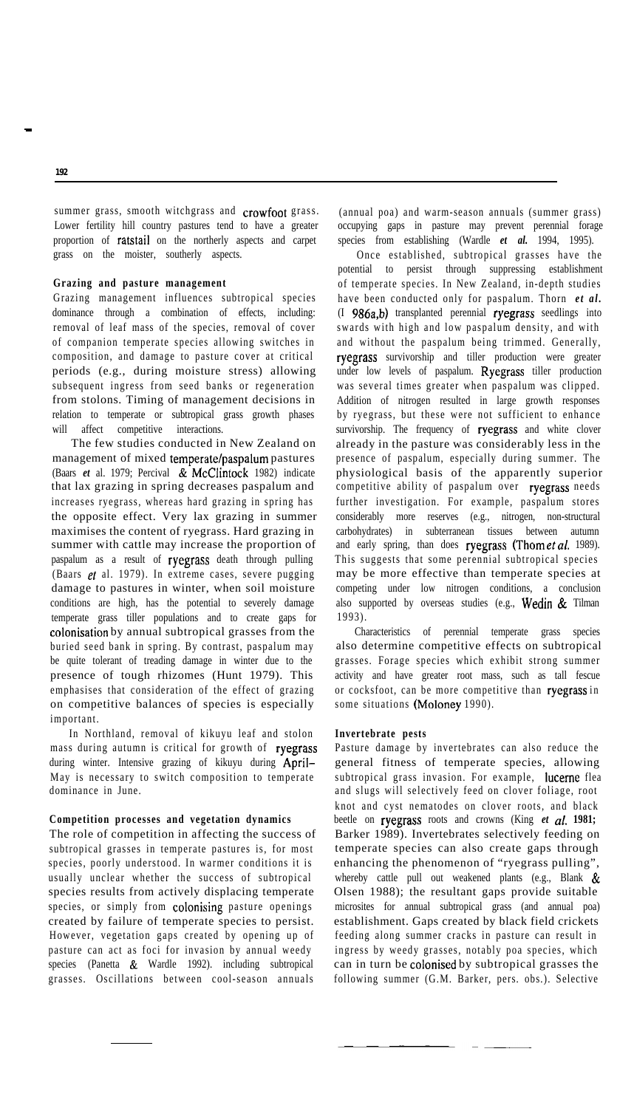summer grass, smooth witchgrass and crowfoot grass. Lower fertility hill country pastures tend to have a greater proportion of ratstail on the northerly aspects and carpet grass on the moister, southerly aspects.

### **Grazing and pasture management**

Grazing management influences subtropical species dominance through a combination of effects, including: removal of leaf mass of the species, removal of cover of companion temperate species allowing switches in composition, and damage to pasture cover at critical periods (e.g., during moisture stress) allowing subsequent ingress from seed banks or regeneration from stolons. Timing of management decisions in relation to temperate or subtropical grass growth phases will affect competitive interactions.

The few studies conducted in New Zealand on management of mixed temperate/paspalum pastures (Baars *et* al. 1979; Percival & McClintock 1982) indicate that lax grazing in spring decreases paspalum and increases ryegrass, whereas hard grazing in spring has the opposite effect. Very lax grazing in summer maximises the content of ryegrass. Hard grazing in summer with cattle may increase the proportion of paspalum as a result of ryegrass death through pulling (Baars et al. 1979). In extreme cases, severe pugging damage to pastures in winter, when soil moisture conditions are high, has the potential to severely damage temperate grass tiller populations and to create gaps for colonisation by annual subtropical grasses from the buried seed bank in spring. By contrast, paspalum may be quite tolerant of treading damage in winter due to the presence of tough rhizomes (Hunt 1979). This emphasises that consideration of the effect of grazing on competitive balances of species is especially important.

In Northland, removal of kikuyu leaf and stolon mass during autumn is critical for growth of ryegrass during winter. Intensive grazing of kikuyu during April-May is necessary to switch composition to temperate dominance in June.

# **Competition processes and vegetation dynamics**

The role of competition in affecting the success of subtropical grasses in temperate pastures is, for most species, poorly understood. In warmer conditions it is usually unclear whether the success of subtropical species results from actively displacing temperate species, or simply from colonising pasture openings created by failure of temperate species to persist. However, vegetation gaps created by opening up of pasture can act as foci for invasion by annual weedy species (Panetta & Wardle 1992). including subtropical grasses. Oscillations between cool-season annuals

(annual poa) and warm-season annuals (summer grass) occupying gaps in pasture may prevent perennial forage species from establishing (Wardle *et al.* 1994, 1995).

Once established, subtropical grasses have the potential to persist through suppressing establishment of temperate species. In New Zealand, in-depth studies have been conducted only for paspalum. Thorn *et al.* (I 986a,b) transplanted perennial ryegrass seedlings into swards with high and low paspalum density, and with and without the paspalum being trimmed. Generally, ryegrass survivorship and tiller production were greater under low levels of paspalum. Ryegrass tiller production was several times greater when paspalum was clipped. Addition of nitrogen resulted in large growth responses by ryegrass, but these were not sufficient to enhance survivorship. The frequency of ryegrass and white clover already in the pasture was considerably less in the presence of paspalum, especially during summer. The physiological basis of the apparently superior competitive ability of paspalum over ryegrass needs further investigation. For example, paspalum stores considerably more reserves (e.g., nitrogen, non-structural carbohydrates) in subterranean tissues between autumn and early spring, than does ryegrass (Thometal. 1989). This suggests that some perennial subtropical species may be more effective than temperate species at competing under low nitrogen conditions, a conclusion also supported by overseas studies (e.g., Wedin & Tilman 1993).

Characteristics of perennial temperate grass species also determine competitive effects on subtropical grasses. Forage species which exhibit strong summer activity and have greater root mass, such as tall fescue or cocksfoot, can be more competitive than ryegrass in some situations (Moloney 1990).

#### **Invertebrate pests**

Pasture damage by invertebrates can also reduce the general fitness of temperate species, allowing subtropical grass invasion. For example, lucerne flea and slugs will selectively feed on clover foliage, root knot and cyst nematodes on clover roots, and black beetle on ryegrass roots and crowns (King *et al.* **1981;** Barker 1989). Invertebrates selectively feeding on temperate species can also create gaps through enhancing the phenomenon of "ryegrass pulling", whereby cattle pull out weakened plants (e.g., Blank & Olsen 1988); the resultant gaps provide suitable microsites for annual subtropical grass (and annual poa) establishment. Gaps created by black field crickets feeding along summer cracks in pasture can result in ingress by weedy grasses, notably poa species, which can in turn be colonised by subtropical grasses the following summer (G.M. Barker, pers. obs.). Selective

**192**

-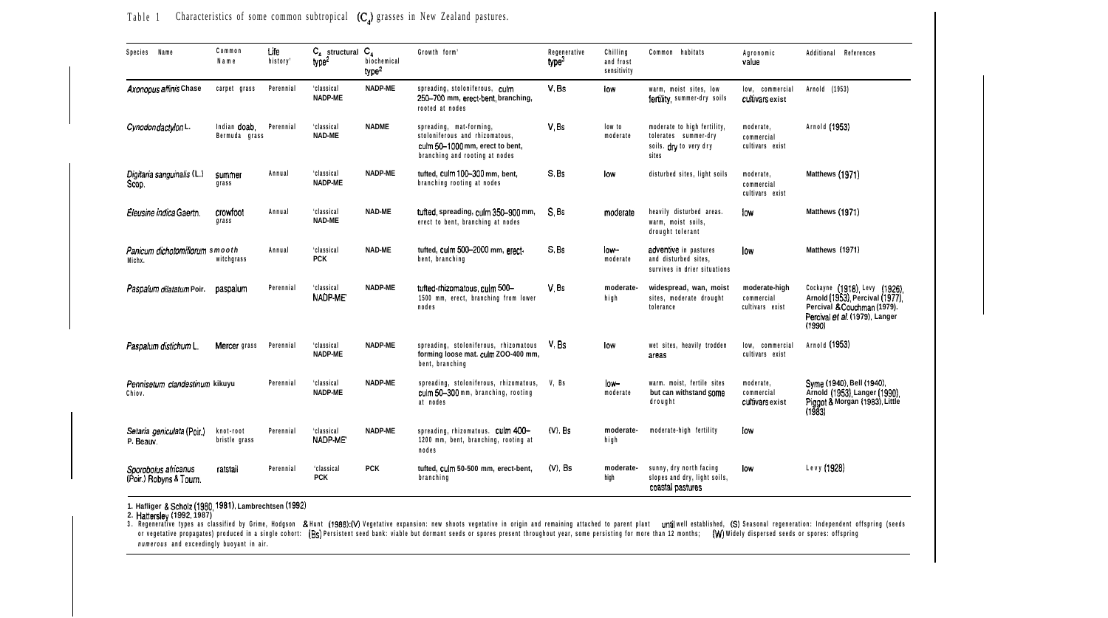| Species Name                                    | Common<br>Name                | Life<br>history' | $C_{\mathbf{A}}$ structural $C_{\mathbf{A}}$<br>type <sup>2</sup> | biochemical<br>true <sup>2</sup> | Growth form'                                                                                                                   | Regenerative<br>type <sup>3</sup> | Chilling<br>and frost<br>sensitivity | Common habitats                                                                        | Agronomic<br>value                             | Additional References                                                                                                                     |
|-------------------------------------------------|-------------------------------|------------------|-------------------------------------------------------------------|----------------------------------|--------------------------------------------------------------------------------------------------------------------------------|-----------------------------------|--------------------------------------|----------------------------------------------------------------------------------------|------------------------------------------------|-------------------------------------------------------------------------------------------------------------------------------------------|
| Axonopus affinis Chase                          | carpet grass                  | Perennial        | 'classical<br>NADP-ME                                             | NADP-ME                          | spreading, stoloniferous, culm<br>250-700 mm, erect-bent, branching,<br>rooted at nodes                                        | V.Bs                              | low                                  | warm. moist sites, low<br>fertility summer-dry soils                                   | low. commercial<br>cultivars exist             | Arnold (1953)                                                                                                                             |
| Cynodon dactylon L.                             | Indian doab.<br>Bermuda grass | Perennial        | 'classical<br>NAD-ME                                              | <b>NADME</b>                     | spreading, mat-forming,<br>stoloniferous and rhizomatous,<br>culm 50-1000 mm, erect to bent,<br>branching and rooting at nodes | V.Bs                              | low to<br>moderate                   | moderate to high fertility,<br>tolerates summer-dry<br>soils. dry to very dry<br>sites | moderate,<br>commercial<br>cultivars exist     | Arnold (1953)                                                                                                                             |
| Digitaria sanguinalis (L.)<br>Scop.             | summer<br>grass               | Annual           | 'classical<br>NADP-ME                                             | NADP-ME                          | tufted, culm 100-300 mm, bent.<br>branching rooting at nodes                                                                   | $S.$ Bs                           | low                                  | disturbed sites, light soils                                                           | moderate.<br>commercial<br>cultivars exist     | Matthews (1971)                                                                                                                           |
| Eleusine indica Gaertn.                         | crowfoot<br>grass             | Annual           | 'classical<br>NAD-ME                                              | NAD-ME                           | tufted, spreading, culm 350-900 mm,<br>erect to bent, branching at nodes                                                       | S.Bs                              | moderate                             | heavily disturbed areas.<br>warm, moist soils,<br>drought tolerant                     | low                                            | Matthews (1971)                                                                                                                           |
| Panicum dichotomiflorum smooth<br>Michx.        | witchgrass                    | Annual           | 'classical<br><b>PCK</b>                                          | NAD-ME                           | tufted. culm 500-2000 mm. erect-<br>bent, branching                                                                            | S.Bs                              | low-<br>moderate                     | adventive in pastures<br>and disturbed sites.<br>survives in drier situations          | low                                            | Matthews (1971)                                                                                                                           |
| Paspalum dilatatum Poir.                        | paspalum                      | Perennial        | 'classical<br>NADP-ME                                             | NADP-ME                          | tufted-rhizomatous, culm 500-<br>1500 mm, erect, branching from lower<br>nodes                                                 | V.Bs                              | moderate-<br>high                    | widespread, wan, moist<br>sites, moderate drought<br>tolerance                         | moderate-high<br>commercial<br>cultivars exist | Cockayne (1918) Levy (1926).<br>Arnold (1953), Percival (1977)<br>Percival & Couchman (1979).<br>Percival et al. (1979), Langer<br>(1990) |
| Paspalum distichum L                            | Mercer grass                  | Perennial        | 'classical<br>NADP-ME                                             | NADP-ME                          | spreading, stoloniferous, rhizomatous<br>forming loose mat. culm ZOO-400 mm,<br>bent, branching                                | V.Bs                              | low                                  | wet sites, heavily trodden<br>areas                                                    | low, commercial<br>cultivars exist             | Arnold (1953)                                                                                                                             |
| Pennisetum clandestinum kikuyu<br>Chiov.        |                               | Perennial        | 'classical<br>NADP-ME                                             | NADP-ME                          | spreading, stoloniferous, rhizomatous,<br>culm 50-300 mm, branching, rooting<br>at nodes                                       | V. Bs                             | low-<br>moderate                     | warm, moist, fertile sites<br>but can withstand SOMe<br>drought                        | moderate.<br>commercial<br>cultivars exist     | Syme (1940), Bell (1940),<br>Arnold (1953) Langer (1990)<br>Piggot & Morgan (1983), Little<br>(1983)                                      |
| Setaria geniculata (Poir.)<br>P. Beauv.         | knot-root<br>bristle grass    | Perennial        | 'classical<br>NADP ME                                             | NADP-ME                          | spreading, rhizomatous. culm 400-<br>1200 mm, bent, branching, rooting at<br>nodes                                             | $(V)$ , $Bs$                      | moderate-<br>high                    | moderate-high fertility                                                                | low                                            |                                                                                                                                           |
| Sporobolus africanus<br>(Poir.) Robyns & Tourn. | ratstail                      | Perennial        | 'classical<br>PCK                                                 | <b>PCK</b>                       | tufted, culm 50-500 mm, erect-bent,<br>branching                                                                               | $(V)$ . Bs                        | moderate-<br>high                    | sunny, dry north facing<br>slopes and dry, light soils,<br>coastal pastures            | low                                            | Levy (1928)                                                                                                                               |

Table 1 Characteristics of some common subtropical  $(C_A)$  grasses in New Zealand pastures.

1. Hafliger **& Scholz (1980, 1981).** Lambrechtsen **(1992)**<br>2. **Hattersley (1992, 1**987)<br>or eventative types as classified by Grime, Hodgson & Hunt **(1988):(V)** Vegetative expansion: new shoots vegetative in origin and rema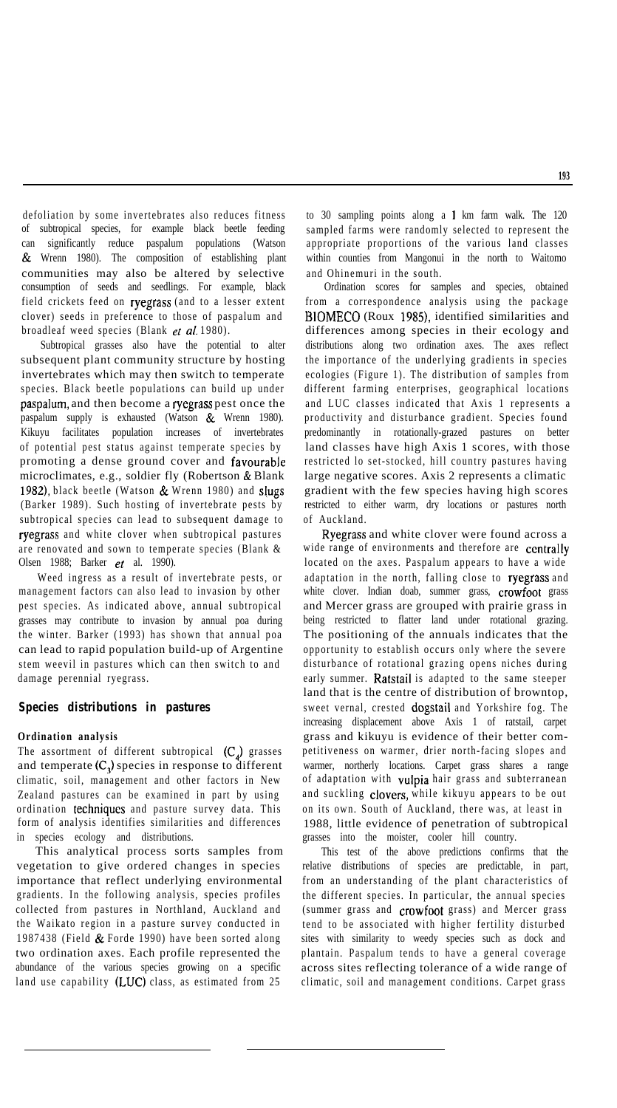defoliation by some invertebrates also reduces fitness of subtropical species, for example black beetle feeding can significantly reduce paspalum populations (Watson & Wrenn 1980). The composition of establishing plant communities may also be altered by selective consumption of seeds and seedlings. For example, black field crickets feed on ryegrass (and to a lesser extent clover) seeds in preference to those of paspalum and broadleaf weed species (Blank et al. 1980).

Subtropical grasses also have the potential to alter subsequent plant community structure by hosting invertebrates which may then switch to temperate species. Black beetle populations can build up under paspaium, and then become a ryegrass pest once the paspalum supply is exhausted (Watson & Wrenn 1980). Kikuyu facilitates population increases of invertebrates of potential pest status against temperate species by promoting a dense ground cover and favourable microclimates, e.g., soldier fly (Robertson & Blank 1982), black beetle (Watson & Wrenn 1980) and sIugs (Barker 1989). Such hosting of invertebrate pests by subtropical species can lead to subsequent damage to ryegrass and white clover when subtropical pastures are renovated and sown to temperate species (Blank & Olsen 1988; Barker et al. 1990).

Weed ingress as a result of invertebrate pests, or management factors can also lead to invasion by other pest species. As indicated above, annual subtropical grasses may contribute to invasion by annual poa during the winter. Barker (1993) has shown that annual poa can lead to rapid population build-up of Argentine stem weevil in pastures which can then switch to and damage perennial ryegrass.

### **Species distributions in pastures**

### **Ordination analysis**

The assortment of different subtropical  $(C_4)$  grasses and temperate  $(C_1)$  species in response to different climatic, soil, management and other factors in New Zealand pastures can be examined in part by using ordination techniques and pasture survey data. This form of analysis identifies similarities and differences in species ecology and distributions.

This analytical process sorts samples from vegetation to give ordered changes in species importance that reflect underlying environmental gradients. In the following analysis, species profiles collected from pastures in Northland, Auckland and the Waikato region in a pasture survey conducted in 1987438 (Field & Forde 1990) have been sorted along two ordination axes. Each profile represented the abundance of the various species growing on a specific land use capability  $(LUC)$  class, as estimated from 25

to 30 sampling points along a 1 km farm walk. The 120 sampled farms were randomly selected to represent the appropriate proportions of the various land classes within counties from Mangonui in the north to Waitomo and Ohinemuri in the south.

Ordination scores for samples and species, obtained from a correspondence analysis using the package BIOMECO (Roux 1985), identified similarities and differences among species in their ecology and distributions along two ordination axes. The axes reflect the importance of the underlying gradients in species ecologies (Figure 1). The distribution of samples from different farming enterprises, geographical locations and LUC classes indicated that Axis 1 represents a productivity and disturbance gradient. Species found predominantly in rotationally-grazed pastures on better land classes have high Axis 1 scores, with those restricted lo set-stocked, hill country pastures having large negative scores. Axis 2 represents a climatic gradient with the few species having high scores restricted to either warm, dry locations or pastures north of Auckland.

Ryegrass and white clover were found across a wide range of environments and therefore are centrally located on the axes. Paspalum appears to have a wide adaptation in the north, falling close to ryegrass and white clover. Indian doab, summer grass, crowfoot grass and Mercer grass are grouped with prairie grass in being restricted to flatter land under rotational grazing. The positioning of the annuals indicates that the opportunity to establish occurs only where the severe disturbance of rotational grazing opens niches during early summer. Ratstail is adapted to the same steeper land that is the centre of distribution of browntop, sweet vernal, crested dogstail and Yorkshire fog. The increasing displacement above Axis 1 of ratstail, carpet grass and kikuyu is evidence of their better competitiveness on warmer, drier north-facing slopes and warmer, northerly locations. Carpet grass shares a range of adaptation with vulpia hair grass and subterranean and suckling clovers, while kikuyu appears to be out on its own. South of Auckland, there was, at least in 1988, little evidence of penetration of subtropical grasses into the moister, cooler hill country.

This test of the above predictions confirms that the relative distributions of species are predictable, in part, from an understanding of the plant characteristics of the different species. In particular, the annual species (summer grass and crowfoot grass) and Mercer grass tend to be associated with higher fertility disturbed sites with similarity to weedy species such as dock and plantain. Paspalum tends to have a general coverage across sites reflecting tolerance of a wide range of climatic, soil and management conditions. Carpet grass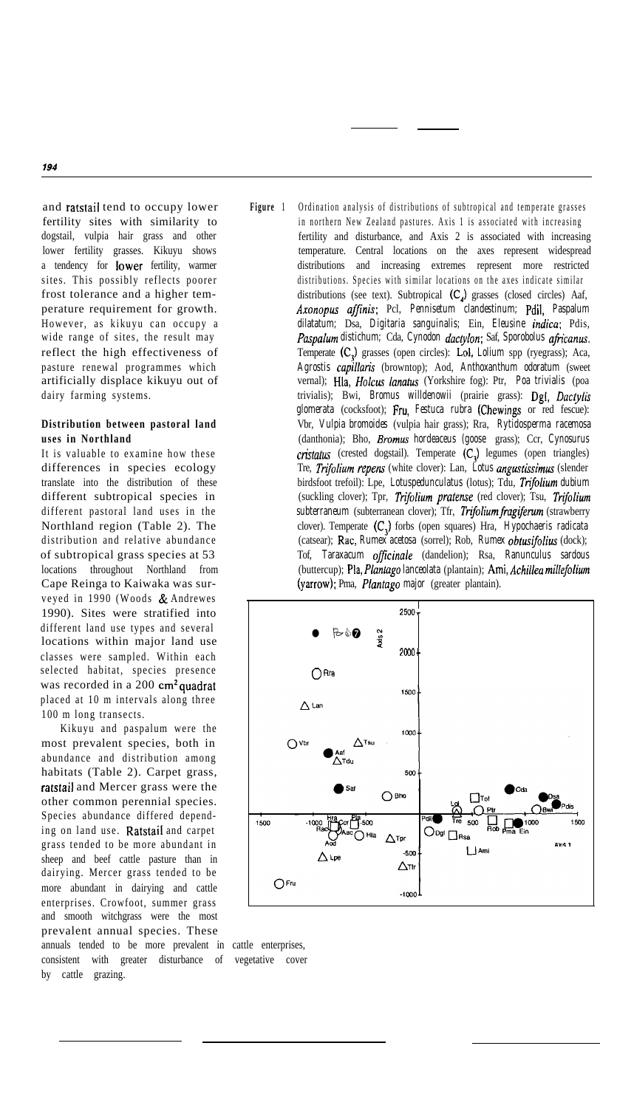and ratstail tend to occupy lower fertility sites with similarity to dogstail, vulpia hair grass and other lower fertility grasses. Kikuyu shows a tendency for lower fertility, warmer sites. This possibly reflects poorer frost tolerance and a higher temperature requirement for growth. However, as kikuyu can occupy a wide range of sites, the result may reflect the high effectiveness of pasture renewal programmes which artificially displace kikuyu out of dairy farming systems.

# **Distribution between pastoral land uses in Northland**

It is valuable to examine how these differences in species ecology translate into the distribution of these different subtropical species in different pastoral land uses in the Northland region (Table 2). The distribution and relative abundance of subtropical grass species at 53 locations throughout Northland from Cape Reinga to Kaiwaka was surveyed in 1990 (Woods & Andrewes 1990). Sites were stratified into different land use types and several locations within major land use classes were sampled. Within each selected habitat, species presence was recorded in a  $200 \text{ cm}^2$  quadrat placed at 10 m intervals along three 100 m long transects.

Kikuyu and paspalum were the most prevalent species, both in abundance and distribution among habitats (Table 2). Carpet grass, ratstail and Mercer grass were the other common perennial species. Species abundance differed depending on land use. Ratstail and carpet grass tended to be more abundant in sheep and beef cattle pasture than in dairying. Mercer grass tended to be more abundant in dairying and cattle enterprises. Crowfoot, summer grass and smooth witchgrass were the most prevalent annual species. These

annuals tended to be more prevalent in cattle enterprises, consistent with greater disturbance of vegetative cover by cattle grazing.

**Figure** 1 Ordination analysis of distributions of subtropical and temperate grasses in northern New Zealand pastures. Axis 1 is associated with increasing fertility and disturbance, and Axis 2 is associated with increasing temperature. Central locations on the axes represent widespread distributions and increasing extremes represent more restricted distributions. Species with similar locations on the axes indicate similar distributions (see text). Subtropical  $(C_{\lambda})$  grasses (closed circles) Aaf, *Axonopus ajfinis:* Pcl, *Pennisetum clandestinum;* Pdil, *Paspalum dilatatum;* Dsa, *Digitaria sanguinalis;* Ein, *Eleusine indica;* Pdis, Paspalum distichum; Cda, *Cynodon dactylon*; Saf, *Sporobolus africanus*. Temperate *(C,)* grasses (open circles): Lol, *Lolium* spp (ryegrass); Aca, *Agrostis capillaris* (browntop); Aod, *Anthoxanthum odoratum* (sweet vernal); Hla, *Holcus lanatus* (Yorkshire fog): Ptr, *Poa trivialis* (poa trivialis); Bwi, *Bromus willdenowii* (prairie grass): Dgl, *Dactylis glomerata* (cocksfoot); Fru, *Festuca rubra* (Chewings or red fescue): Vbr, *Vulpia bromoides* (vulpia hair grass); Rra, *Rytidosperma racemosa* (danthonia); Bho, *Eromus hordeaceus (goose* grass); Ccr, *Cynosurus cristatus* (crested dogstail). Temperate (C,) legumes (open triangles) Tre, *Trtjolium repens* (white clover): Lan, *Lotus angustissimus* (slender birdsfoot trefoil): Lpe, *Lotuspedunculatus* (lotus); Tdu, *Tnjolium dubium* (suckling clover); Tpr, Trifolium pratense (red clover); Tsu, Trifolium subterraneum (subterranean clover); Tfr, *Trifolium fragiferum* (strawberry clover). Temperate (C,) forbs (open squares) Hra, *Hypochaeris radicata* (catsear); Rac, *Rumex acetosa* (sorrel); Rob, *Rumex obtusifolius* (dock); Tof, *Taraxacum officinale* (dandelion); Rsa, *Ranunculus sardous* (buttercup); Pla, *Plantago lanceolata* (plantain); Ami, *Achilles millefolium* (yarrow); Pma, *Plantago major* (greater plantain).

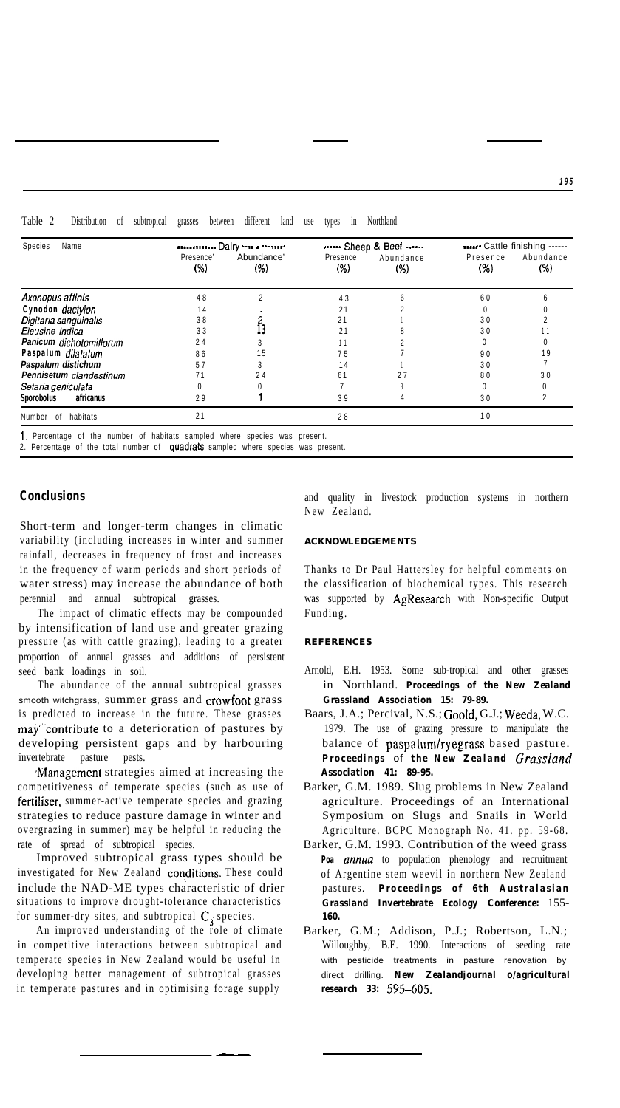| Table<br>.<br>11.00<br>use<br>subtropical<br>different<br>grasses<br>1n<br>between<br>land<br>Distribution<br>Northland.<br>0Ì<br>types |  |
|-----------------------------------------------------------------------------------------------------------------------------------------|--|
|-----------------------------------------------------------------------------------------------------------------------------------------|--|

| Name<br>Species          |                     | Dairy              |                    | Sheep & Beef     | Cattle finishing ------ |                  |  |
|--------------------------|---------------------|--------------------|--------------------|------------------|-------------------------|------------------|--|
|                          | Presence'<br>$(\%)$ | Abundance'<br>(% ) | Presence<br>$(\%)$ | Abundance<br>(%) | Presence<br>(%)         | Abundance<br>(%) |  |
| Axonopus affinis         | 48                  | C                  | 43                 |                  | 60                      |                  |  |
| Cynodon dactylon         | 14                  |                    | 21                 |                  |                         |                  |  |
| Digitaria sanguinalis    | 38                  |                    | 21                 |                  | 30                      |                  |  |
| Eleusine indica          | 33                  |                    | 21                 |                  | 30                      |                  |  |
| Panicum dichotomifiorum  | 24                  |                    |                    |                  |                         |                  |  |
| Paspalum dilatatum       | 86                  | 15                 | 75                 |                  | 90                      | 9                |  |
| Paspalum distichum       | 57                  |                    | 14                 |                  | 30                      |                  |  |
| Pennisetum clandestinum  | 71                  | 24                 | 61                 |                  | 80                      | 30               |  |
| Setaria geniculata       | 0                   |                    |                    |                  |                         |                  |  |
| Sporobolus<br>africanus  | 29                  |                    | 39                 |                  | 30                      |                  |  |
| habitats<br>Number<br>0f | 21                  |                    | 28                 |                  | 10                      |                  |  |

I. Percentage of the number of habitats sampled where species was present.

2. Percentage of the total number of quadrats sampled where species was present.

# **Conclusions**

Short-term and longer-term changes in climatic variability (including increases in winter and summer rainfall, decreases in frequency of frost and increases in the frequency of warm periods and short periods of water stress) may increase the abundance of both perennial and annual subtropical grasses.

The impact of climatic effects may be compounded by intensification of land use and greater grazing pressure (as with cattle grazing), leading to a greater proportion of annual grasses and additions of persistent seed bank loadings in soil.

The abundance of the annual subtropical grasses smooth witchgrass, summer grass and crowfoot grass is predicted to increase in the future. These grasses may"'contribute to a deterioration of pastures by developing persistent gaps and by harbouring invertebrate pasture pests.

,Management strategies aimed at increasing the competitiveness of temperate species (such as use of fertiliser, summer-active temperate species and grazing strategies to reduce pasture damage in winter and overgrazing in summer) may be helpful in reducing the rate of spread of subtropical species.

Improved subtropical grass types should be investigated for New Zealand conditions. These could include the NAD-ME types characteristic of drier situations to improve drought-tolerance characteristics for summer-dry sites, and subtropical  $C_i$  species.

temperate species in New Zealand would be useful in with pesticide treatments in pasture renovation by developing better management of subtropical grasses airect drilling. *New Zealandjournal o/agricultural*<br>in temperate pastures and in optimising forage supply research 33: 595–605. in temperate pastures and in optimising forage supply

and quality in livestock production systems in northern New Zealand.

#### **ACKNOWLEDGEMENTS**

Thanks to Dr Paul Hattersley for helpful comments on the classification of biochemical types. This research was supported by AgResearch with Non-specific Output Funding.

### **REFERENCES**

- Arnold, E.H. 1953. Some sub-tropical and other grasses in Northland. *Proceedings of the New Zealand Grassland Association 15: 79-89.*
- Baars, J.A.; Percival, N.S.; Goold, G.J.; Weeda, W.C. 1979. The use of grazing pressure to manipulate the balance of paspalum/ryegrass based pasture. *Proceedings of the New Zealand GrassIand Association 41: 89-95.*
- Barker, G.M. 1989. Slug problems in New Zealand agriculture. Proceedings of an International Symposium on Slugs and Snails in World Agriculture. BCPC Monograph No. 41. pp. 59-68.
- Barker, G.M. 1993. Contribution of the weed grass Poa **annua** to population phenology and recruitment of Argentine stem weevil in northern New Zealand pastures. *Proceedings of 6th Australasian Grassland Invertebrate Ecology Conference:* 155- *160.*
- An improved understanding of the role of climate Barker, G.M.; Addison, P.J.; Robertson, L.N.; in competitive interactions between subtropical and Willoughby, B.E. 1990. Interactions of seeding rate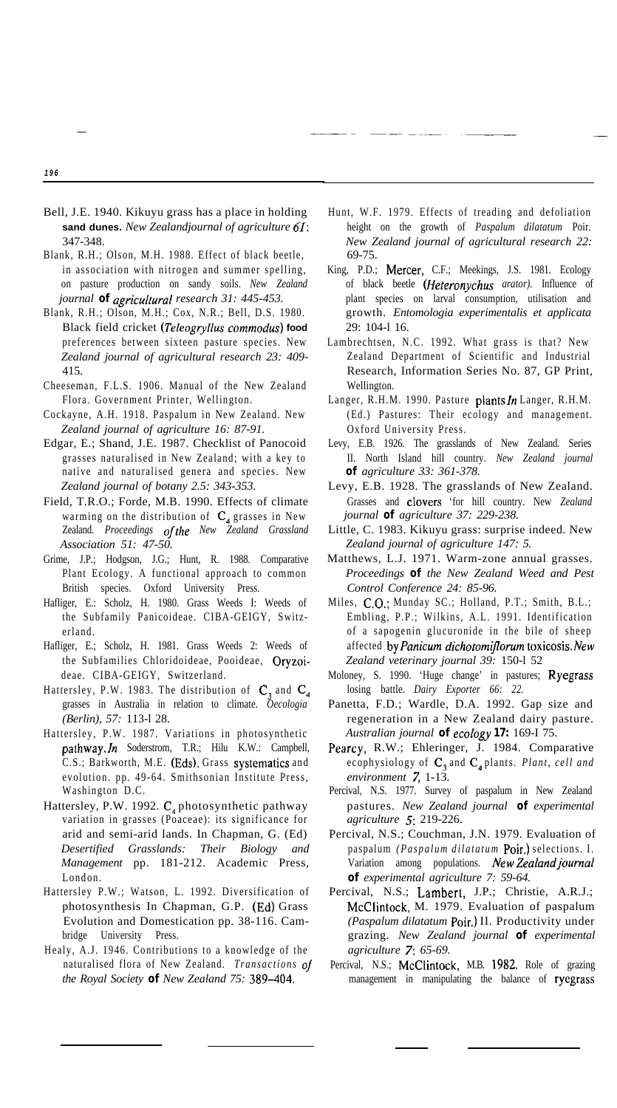- Bell, J.E. 1940. Kikuyu grass has a place in holding **sand dunes.** *New Zealandjournal of agriculture 61:* 347-348.
- Blank, R.H.; Olson, M.H. 1988. Effect of black beetle, in association with nitrogen and summer spelling, on pasture production on sandy soils. *New Zealand journal of agriculfural research 31: 445-453.*
- Blank, R.H.; Olson, M.H.; Cox, N.R.; Bell, D.S. 1980. Black field cricket *(Teleogryllus commodus)* **food** preferences between sixteen pasture species. New *Zealand journal of agricultural research 23: 409-* 415.
- Cheeseman, F.L.S. 1906. Manual of the New Zealand Flora. Government Printer, Wellington.
- Cockayne, A.H. 1918. Paspalum in New Zealand. New *Zealand journal of agriculture 16: 87-91.*
- Edgar, E.; Shand, J.E. 1987. Checklist of Panocoid grasses naturalised in New Zealand; with a key to native and naturalised genera and species. New *Zealand journal of botany 2.5: 343-353.*
- Field, T.R.O.; Forde, M.B. 1990. Effects of climate warming on the distribution of  $C_4$  grasses in New Zealand. *Proceedings ofthe New Zealand Grassland Association 51: 47-50.*
- Grime, J.P.; Hodgson, J.G.; Hunt, R. 1988. Comparative Plant Ecology. A functional approach to common British species. Oxford University Press.
- Hafliger, E.: Scholz, H. 1980. Grass Weeds I: Weeds of the Subfamily Panicoideae. CIBA-GEIGY, Switzerland.
- Hafliger, E.; Scholz, H. 1981. Grass Weeds 2: Weeds of the Subfamilies Chloridoideae, Pooideae, Oryzoideae. CIBA-GEIGY, Switzerland.
- Hattersley, P.W. 1983. The distribution of  $C_3$  and  $C_4$ grasses in Australia in relation to climate. *Oecologia (Berlin), 57:* 113-l 28.
- Hattersley, P.W. 1987. Variations in photosynthetic pathway.In Soderstrom, T.R.; Hilu K.W.: Campbell, C.S.; Barkworth, M.E. (Eds). Grass systematics and evolution. pp. 49-64. Smithsonian Institute Press, Washington D.C.
- Hattersley, P.W. 1992.  $C_4$  photosynthetic pathway variation in grasses (Poaceae): its significance for arid and semi-arid lands. In Chapman, G. (Ed) *Desertified Grasslands: Their Biology and Management* pp. 181-212. Academic Press, London.
- Hattersley P.W.; Watson, L. 1992. Diversification of photosynthesis In Chapman, G.P. (Ed) Grass Evolution and Domestication pp. 38-116. Cambridge University Press.
- Healy, A.J. 1946. Contributions to a knowledge of the naturalised flora of New Zealand. *Transactions* O/ *the Royal Society of New Zealand 75: 389-404.*
- Hunt, W.F. 1979. Effects of treading and defoliation height on the growth of *Paspalum dilatatum* Poir. *New Zealand journal of agricultural research 22:* 69-75.
- King, P.D.; Mercer, C.F.; Meekings, J.S. 1981. Ecology of black beetle *(Ffeteronychus arator).* Influence of plant species on larval consumption, utilisation and growth. *Entomologia experimentalis et applicata* 29: 104-l 16.
- Lambrechtsen, N.C. 1992. What grass is that? New Zealand Department of Scientific and Industrial Research, Information Series No. 87, GP Print, Wellington.
- Langer, R.H.M. 1990. Pasture plants In Langer, R.H.M. (Ed.) Pastures: Their ecology and management. Oxford University Press.
- Levy, E.B. 1926. The grasslands of New Zealand. Series II. North Island hill country. *New Zealand journal of agriculture 33: 361-378.*
- Levy, E.B. 1928. The grasslands of New Zealand. Grasses and clovers 'for hill country. New *Zealand journal of agriculture 37: 229-238.*
- Little, C. 1983. Kikuyu grass: surprise indeed. New *Zealand journal of agriculture 147: 5.*
- Matthews, L.J. 1971. Warm-zone annual grasses. *Proceedings of the New Zealand Weed and Pest Control Conference 24: 85-96.*
- Miles, CO.; Munday SC.; Holland, P.T.; Smith, B.L.; Embling, P.P.; Wilkins, A.L. 1991. Identification of a sapogenin glucuronide in the bile of sheep affected *byPanicum dichotomiflorum* toxicosis.New *Zealand veterinary journal 39:* 150-l 52
- Moloney, S. 1990. 'Huge change' in pastures; Ryegrass losing battle. *Dairy Exporter 66: 22.*
- Panetta, F.D.; Wardle, D.A. 1992. Gap size and regeneration in a New Zealand dairy pasture. *Australian journal of ecology 17:* 169-I 75.
- Pearcy, R.W.; Ehleringer, J. 1984. Comparative ecophysiology of C, and C, plants. *Plant, cell and environment 7,* 1-13.
- Percival, N.S. 1977. Survey of paspalum in New Zealand pastures. *New Zealand journal of experimental agriculture 5:* 219-226.
- Percival, N.S.; Couchman, J.N. 1979. Evaluation of paspalum *(Paspalum dilatatum* Pair.) selections. I. Variation among populations. *NewZealandjournal of experimental agriculture 7: 59-64.*
- Percival, N.S.; Lambert, J.P.; Christie, A.R.J.; McClintock, M. 1979. Evaluation of paspalum *(Paspalum dilatatum* Pair.) II. Productivity under grazing. *New Zealand journal of experimental agriculture 7: 65-69.*
- Percival, N.S.; McClintock, M.B. 1982. Role of grazing management in manipulating the balance of ryegrass